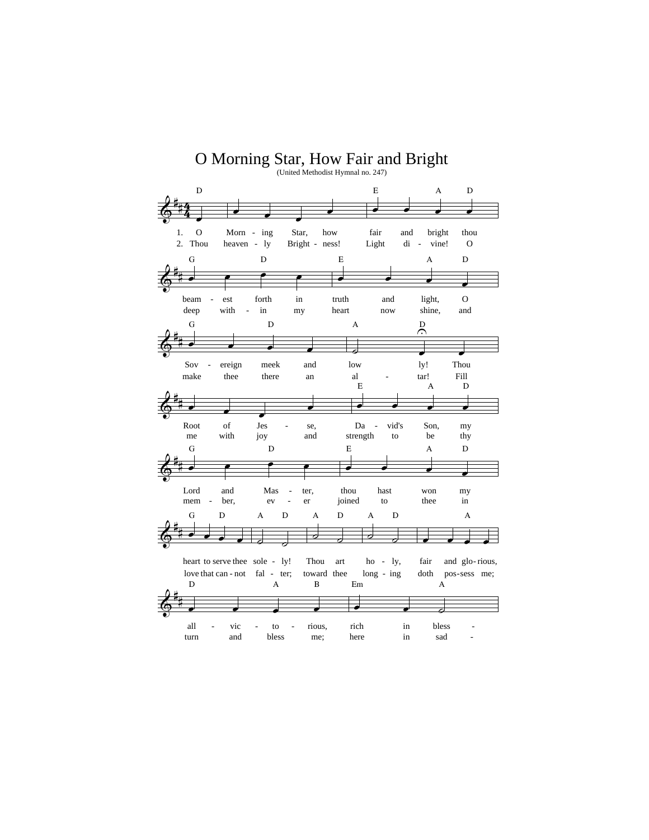